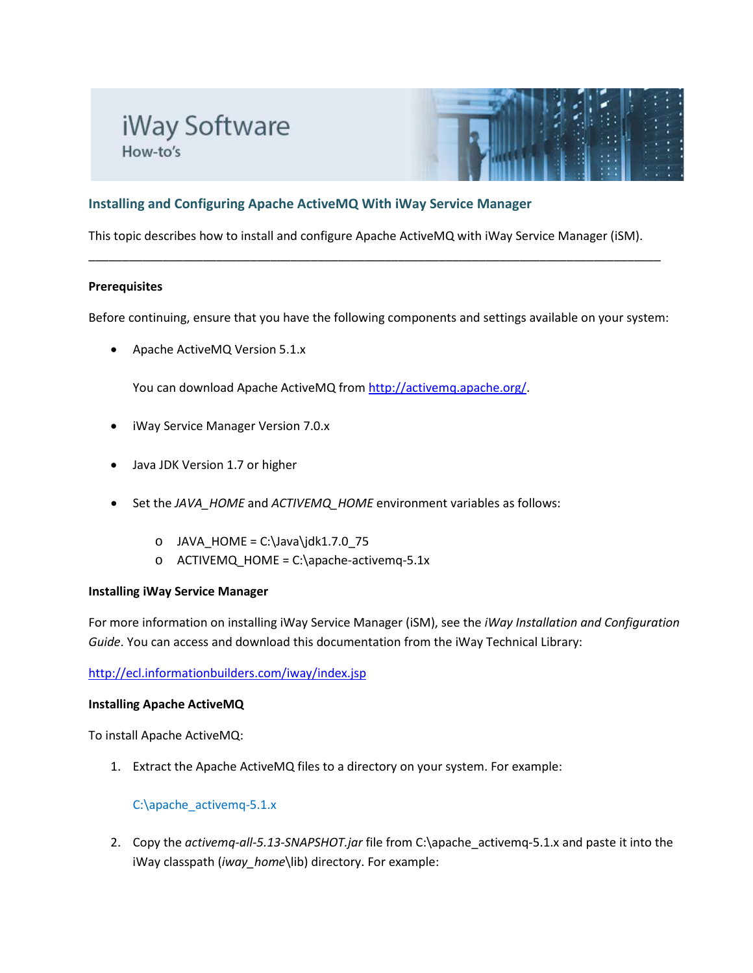# iWay Software How-to's



# **Installing and Configuring Apache ActiveMQ With iWay Service Manager**

This topic describes how to install and configure Apache ActiveMQ with iWay Service Manager (iSM).

\_\_\_\_\_\_\_\_\_\_\_\_\_\_\_\_\_\_\_\_\_\_\_\_\_\_\_\_\_\_\_\_\_\_\_\_\_\_\_\_\_\_\_\_\_\_\_\_\_\_\_\_\_\_\_\_\_\_\_\_\_\_\_\_\_\_\_\_\_\_\_\_\_\_\_\_\_\_\_\_\_\_\_\_\_

## **Prerequisites**

Before continuing, ensure that you have the following components and settings available on your system:

• Apache ActiveMQ Version 5.1.x

You can download Apache ActiveMQ fro[m http://activemq.apache.org/.](http://activemq.apache.org/)

- iWay Service Manager Version 7.0.x
- Java JDK Version 1.7 or higher
- Set the *JAVA\_HOME* and *ACTIVEMQ\_HOME* environment variables as follows:
	- $O$  JAVA HOME = C:\Java\jdk1.7.0 75
	- o ACTIVEMQ\_HOME = C:\apache-activemq-5.1x

## **Installing iWay Service Manager**

For more information on installing iWay Service Manager (iSM), see the *iWay Installation and Configuration Guide*. You can access and download this documentation from the iWay Technical Library:

<http://ecl.informationbuilders.com/iway/index.jsp>

## **Installing Apache ActiveMQ**

To install Apache ActiveMQ:

1. Extract the Apache ActiveMQ files to a directory on your system. For example:

# C:\apache\_activemq-5.1.x

2. Copy the *activemq-all-5.13-SNAPSHOT.jar* file from C:\apache\_activemq-5.1.x and paste it into the iWay classpath (*iway\_home*\lib) directory. For example: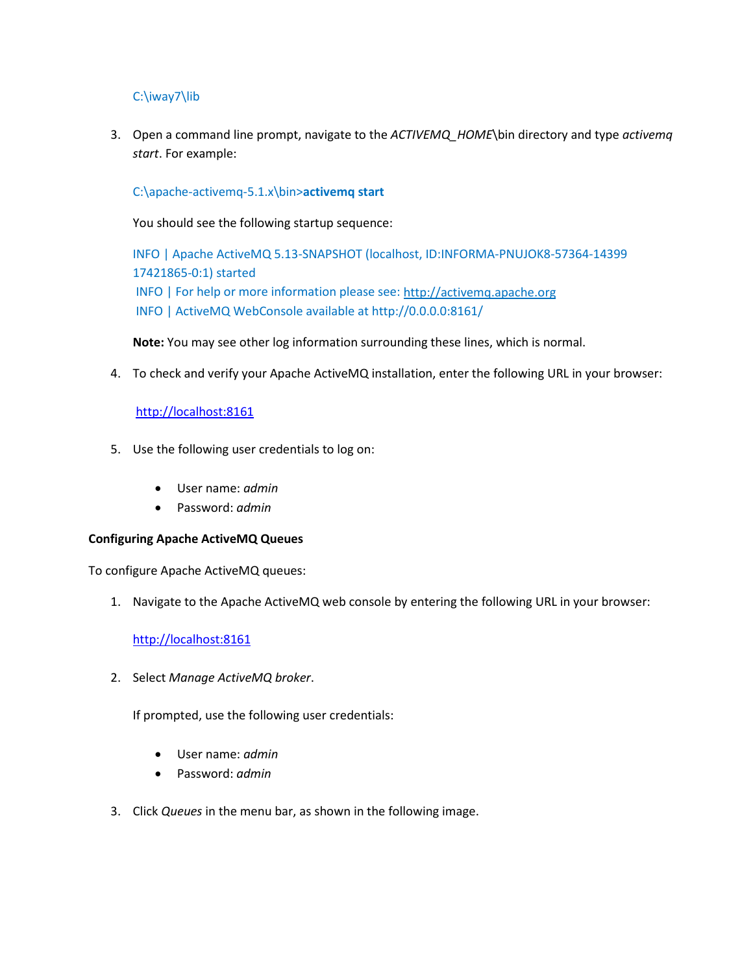# C:\iway7\lib

3. Open a command line prompt, navigate to the *ACTIVEMQ\_HOME*\bin directory and type *activemq start*. For example:

# C:\apache-activemq-5.1.x\bin>**activemq start**

You should see the following startup sequence:

INFO | Apache ActiveMQ 5.13-SNAPSHOT (localhost, ID:INFORMA-PNUJOK8-57364-14399 17421865-0:1) started INFO | For help or more information please see: [http://activemq.apache.org](http://activemq.apache.org/) INFO | ActiveMQ WebConsole available at http://0.0.0.0:8161/

**Note:** You may see other log information surrounding these lines, which is normal.

4. To check and verify your Apache ActiveMQ installation, enter the following URL in your browser:

# [http://localhost:8161](http://localhost:8161/)

- 5. Use the following user credentials to log on:
	- User name: *admin*
	- Password: *admin*

## **Configuring Apache ActiveMQ Queues**

To configure Apache ActiveMQ queues:

1. Navigate to the Apache ActiveMQ web console by entering the following URL in your browser:

## [http://localhost:8161](http://localhost:8161/)

2. Select *Manage ActiveMQ broker*.

If prompted, use the following user credentials:

- User name: *admin*
- Password: *admin*
- 3. Click *Queues* in the menu bar, as shown in the following image.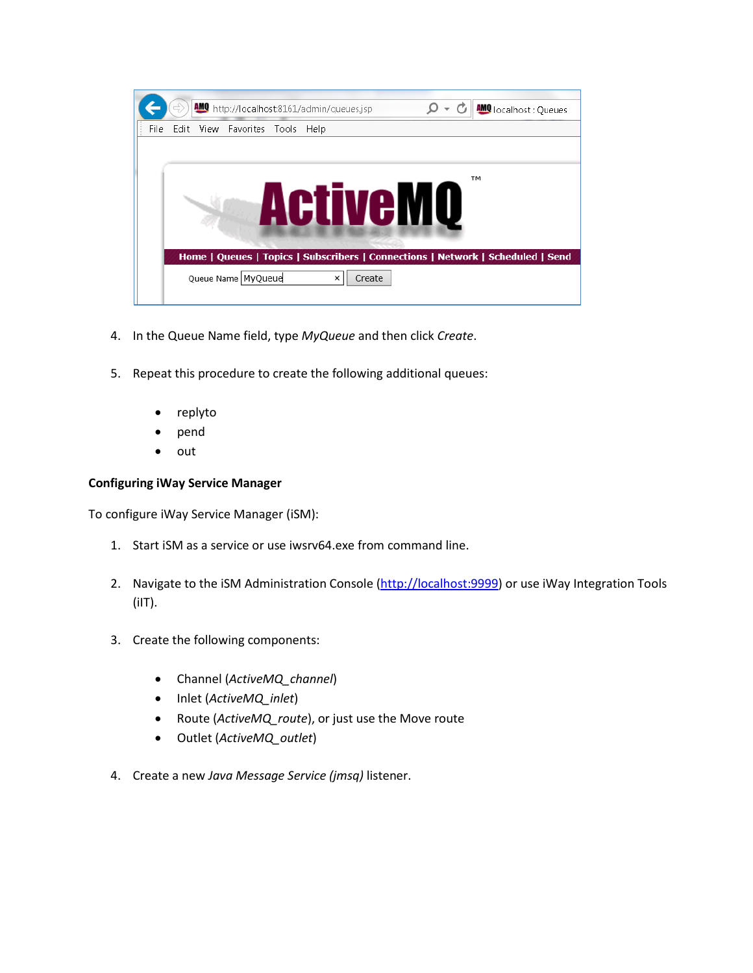

- 4. In the Queue Name field, type *MyQueue* and then click *Create*.
- 5. Repeat this procedure to create the following additional queues:
	- replyto
	- pend
	- out

## **Configuring iWay Service Manager**

To configure iWay Service Manager (iSM):

- 1. Start iSM as a service or use iwsrv64.exe from command line.
- 2. Navigate to the iSM Administration Console [\(http://localhost:9999\)](http://localhost:9999/) or use iWay Integration Tools  $(iIT).$
- 3. Create the following components:
	- Channel (*ActiveMQ\_channel*)
	- Inlet (*ActiveMQ\_inlet*)
	- Route (*ActiveMQ\_route*), or just use the Move route
	- Outlet (*ActiveMQ\_outlet*)
- 4. Create a new *Java Message Service (jmsq)* listener.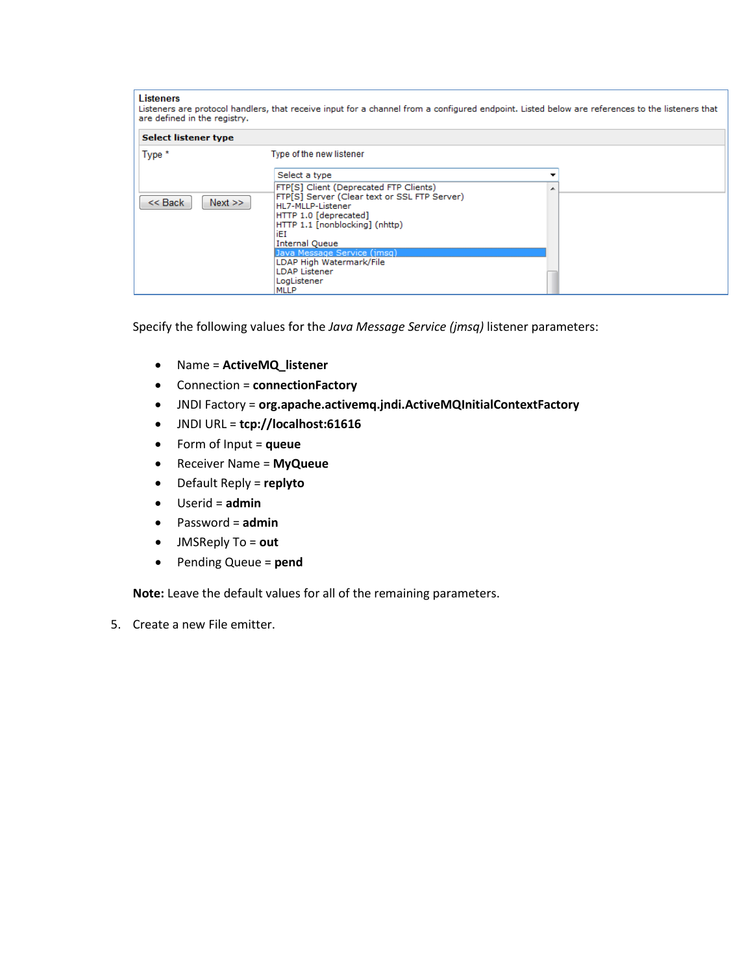| <b>Listeners</b><br>Listeners are protocol handlers, that receive input for a channel from a configured endpoint. Listed below are references to the listeners that<br>are defined in the registry. |                                                                                                                                                                                                                                                                                                                         |  |  |  |  |  |
|-----------------------------------------------------------------------------------------------------------------------------------------------------------------------------------------------------|-------------------------------------------------------------------------------------------------------------------------------------------------------------------------------------------------------------------------------------------------------------------------------------------------------------------------|--|--|--|--|--|
| <b>Select listener type</b>                                                                                                                                                                         |                                                                                                                                                                                                                                                                                                                         |  |  |  |  |  |
| Type *                                                                                                                                                                                              | Type of the new listener                                                                                                                                                                                                                                                                                                |  |  |  |  |  |
|                                                                                                                                                                                                     | Select a type                                                                                                                                                                                                                                                                                                           |  |  |  |  |  |
| $<<$ Back<br>Next                                                                                                                                                                                   | FTP[S] Client (Deprecated FTP Clients)<br>FTP[S] Server (Clear text or SSL FTP Server)<br>HL7-MLLP-Listener<br>HTTP 1.0 [deprecated]<br>HTTP 1.1 [nonblocking] (nhttp)<br>iEI<br><b>Internal Queue</b><br>Java Message Service (jmsg)<br>LDAP High Watermark/File<br><b>LDAP Listener</b><br>LogListener<br><b>MLLP</b> |  |  |  |  |  |

Specify the following values for the *Java Message Service (jmsq)* listener parameters:

- Name = **ActiveMQ\_listener**
- Connection = **connectionFactory**
- JNDI Factory = **org.apache.activemq.jndi.ActiveMQInitialContextFactory**
- JNDI URL = **tcp://localhost:61616**
- Form of Input = **queue**
- Receiver Name = **MyQueue**
- Default Reply = **replyto**
- Userid = **admin**
- Password = **admin**
- JMSReply To = **out**
- Pending Queue = **pend**

**Note:** Leave the default values for all of the remaining parameters.

5. Create a new File emitter.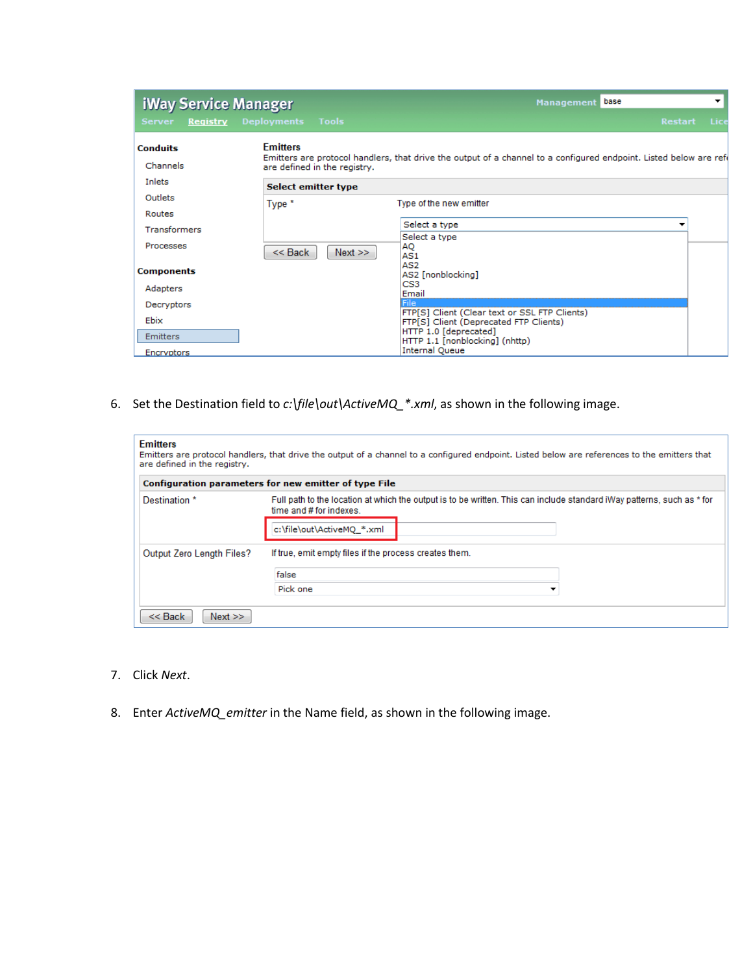| <b>iWay Service Manager</b> |                                                 | base<br>▼<br><b>Management</b>                                                                                    |      |  |  |
|-----------------------------|-------------------------------------------------|-------------------------------------------------------------------------------------------------------------------|------|--|--|
| <b>Server</b><br>Registry   | <b>Tools</b><br><b>Deployments</b>              | <b>Restart</b>                                                                                                    | Lice |  |  |
| <b>Conduits</b><br>Channels | <b>Emitters</b><br>are defined in the registry. | Emitters are protocol handlers, that drive the output of a channel to a configured endpoint. Listed below are ref |      |  |  |
| Inlets                      | Select emitter type                             |                                                                                                                   |      |  |  |
| Outlets                     | Type *                                          | Type of the new emitter                                                                                           |      |  |  |
| Routes                      |                                                 |                                                                                                                   |      |  |  |
| <b>Transformers</b>         |                                                 | Select a type<br>▼                                                                                                |      |  |  |
| Processes                   | $<<$ Back<br>Next                               | Select a type<br>AQ<br>AS1                                                                                        |      |  |  |
| <b>Components</b>           |                                                 | AS <sub>2</sub><br>AS2 [nonblocking]                                                                              |      |  |  |
| Adapters                    |                                                 | CS3<br>Email                                                                                                      |      |  |  |
| Decryptors                  |                                                 | lFile<br>FTP[S] Client (Clear text or SSL FTP Clients)                                                            |      |  |  |
| Ebix                        |                                                 | FTP[S] Client (Deprecated FTP Clients)                                                                            |      |  |  |
| <b>Emitters</b>             |                                                 | HTTP 1.0 [deprecated]<br>HTTP 1.1 [nonblocking] (nhttp)                                                           |      |  |  |
| Encryptors                  |                                                 | <b>Internal Queue</b>                                                                                             |      |  |  |

6. Set the Destination field to *c:\file\out\ActiveMQ\_\*.xml*, as shown in the following image.

| <b>Emitters</b><br>Emitters are protocol handlers, that drive the output of a channel to a configured endpoint. Listed below are references to the emitters that<br>are defined in the registry. |                                                                                                                                                                                 |  |  |  |  |  |
|--------------------------------------------------------------------------------------------------------------------------------------------------------------------------------------------------|---------------------------------------------------------------------------------------------------------------------------------------------------------------------------------|--|--|--|--|--|
|                                                                                                                                                                                                  | Configuration parameters for new emitter of type File                                                                                                                           |  |  |  |  |  |
| Destination *                                                                                                                                                                                    | Full path to the location at which the output is to be written. This can include standard iWay patterns, such as * for<br>time and # for indexes.<br>c:\file\out\ActiveMQ *.xml |  |  |  |  |  |
| Output Zero Length Files?                                                                                                                                                                        | If true, emit empty files if the process creates them.<br>false<br>Pick one<br>▼                                                                                                |  |  |  |  |  |
| $<<$ Back<br>Next                                                                                                                                                                                |                                                                                                                                                                                 |  |  |  |  |  |

- 7. Click *Next*.
- 8. Enter *ActiveMQ\_emitter* in the Name field, as shown in the following image.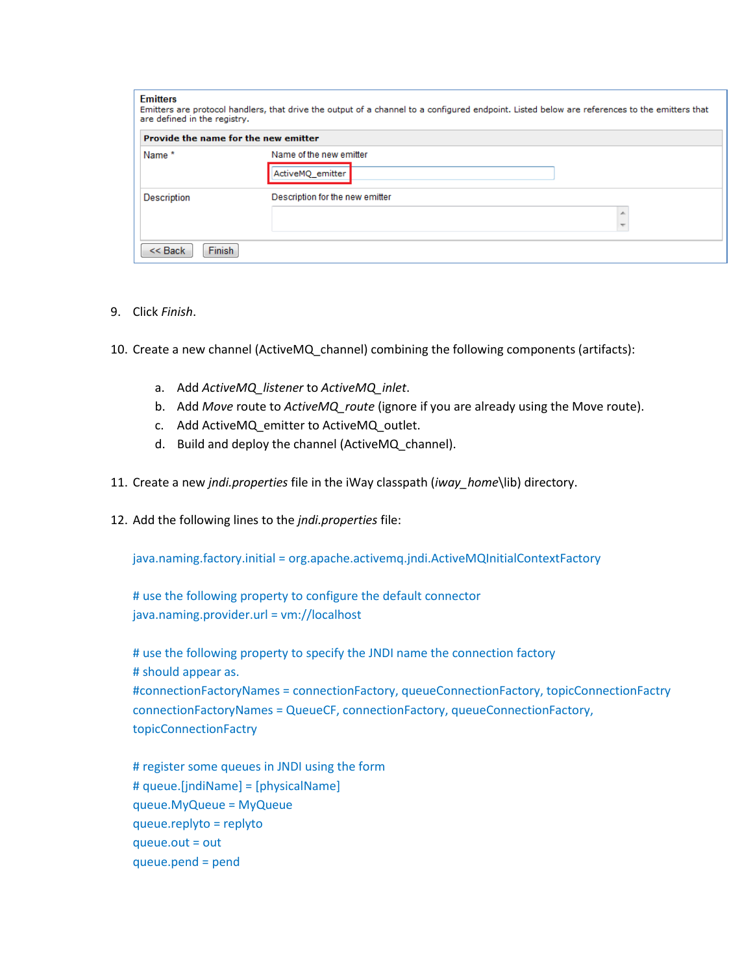| <b>Emitters</b><br>Emitters are protocol handlers, that drive the output of a channel to a configured endpoint. Listed below are references to the emitters that<br>are defined in the registry. |                                             |  |  |  |  |  |
|--------------------------------------------------------------------------------------------------------------------------------------------------------------------------------------------------|---------------------------------------------|--|--|--|--|--|
| Provide the name for the new emitter                                                                                                                                                             |                                             |  |  |  |  |  |
| Name*                                                                                                                                                                                            | Name of the new emitter<br>ActiveMQ_emitter |  |  |  |  |  |
| Description                                                                                                                                                                                      | Description for the new emitter             |  |  |  |  |  |
| Finish<br>$<<$ Back                                                                                                                                                                              |                                             |  |  |  |  |  |

- 9. Click *Finish*.
- 10. Create a new channel (ActiveMQ\_channel) combining the following components (artifacts):
	- a. Add *ActiveMQ\_listener* to *ActiveMQ\_inlet*.
	- b. Add *Move* route to *ActiveMQ\_route* (ignore if you are already using the Move route).
	- c. Add ActiveMQ\_emitter to ActiveMQ\_outlet.
	- d. Build and deploy the channel (ActiveMQ\_channel).
- 11. Create a new *jndi.properties* file in the iWay classpath (*iway\_home*\lib) directory.
- 12. Add the following lines to the *jndi.properties* file:

java.naming.factory.initial = org.apache.activemq.jndi.ActiveMQInitialContextFactory

# use the following property to configure the default connector java.naming.provider.url = vm://localhost

# use the following property to specify the JNDI name the connection factory # should appear as. #connectionFactoryNames = connectionFactory, queueConnectionFactory, topicConnectionFactry connectionFactoryNames = QueueCF, connectionFactory, queueConnectionFactory, topicConnectionFactry

# register some queues in JNDI using the form # queue.[jndiName] = [physicalName] queue.MyQueue = MyQueue queue.replyto = replyto queue.out = out queue.pend = pend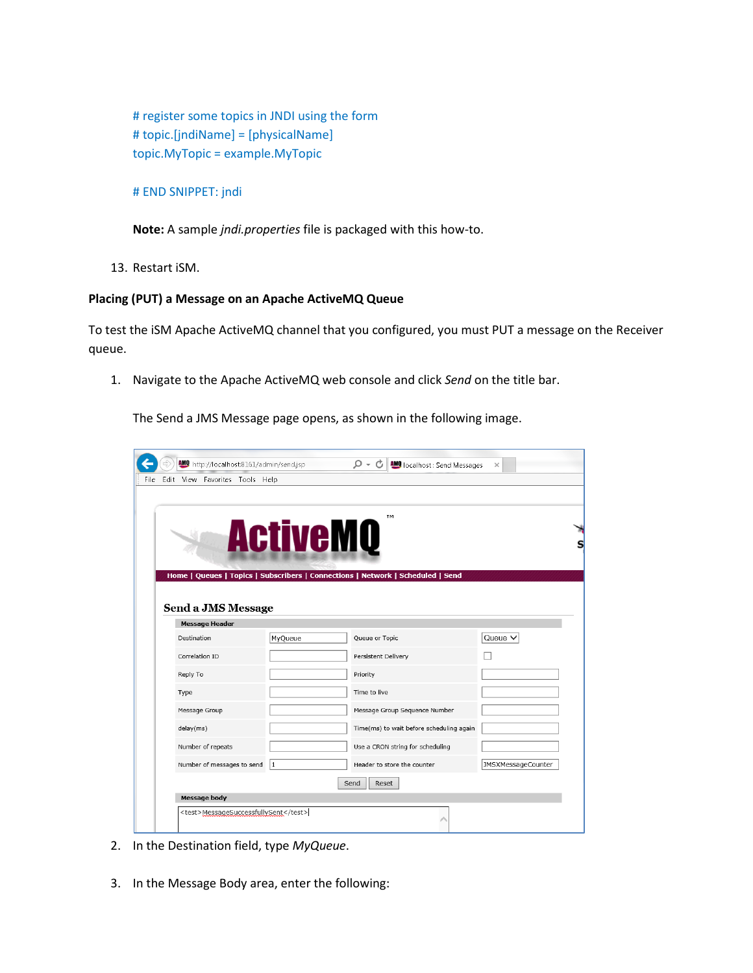# register some topics in JNDI using the form # topic.[jndiName] = [physicalName] topic.MyTopic = example.MyTopic

## # END SNIPPET: jndi

**Note:** A sample *jndi.properties* file is packaged with this how-to.

13. Restart iSM.

## **Placing (PUT) a Message on an Apache ActiveMQ Queue**

To test the iSM Apache ActiveMQ channel that you configured, you must PUT a message on the Receiver queue.

1. Navigate to the Apache ActiveMQ web console and click *Send* on the title bar.

The Send a JMS Message page opens, as shown in the following image.

|      |                                      | Mulhttp://localhost:8161/admin/send.jsp |         | $\mathcal{Q} \times \mathcal{C}$   AMO localhost: Send Messages                 | $\times$                  |  |  |
|------|--------------------------------------|-----------------------------------------|---------|---------------------------------------------------------------------------------|---------------------------|--|--|
| File |                                      | Edit View Favorites Tools Help          |         |                                                                                 |                           |  |  |
|      | TM<br><b>ActiveMQ</b>                |                                         |         |                                                                                 |                           |  |  |
|      |                                      | Send a JMS Message                      |         | Home   Queues   Topics   Subscribers   Connections   Network   Scheduled   Send |                           |  |  |
|      | <b>Message Header</b>                |                                         |         |                                                                                 |                           |  |  |
|      |                                      | Destination                             | MyQueue | Queue or Topic                                                                  | Queue $\vee$              |  |  |
|      |                                      | Correlation ID                          |         | Persistent Delivery                                                             |                           |  |  |
|      |                                      | Reply To                                |         | Priority                                                                        |                           |  |  |
|      |                                      | Type                                    |         | Time to live                                                                    |                           |  |  |
|      |                                      | Message Group                           |         | Message Group Sequence Number                                                   |                           |  |  |
|      |                                      | delay(ms)                               |         | Time(ms) to wait before scheduling again                                        |                           |  |  |
|      |                                      | Number of repeats                       |         | Use a CRON string for scheduling                                                |                           |  |  |
|      |                                      | Number of messages to send              | 1       | Header to store the counter                                                     | <b>JMSXMessageCounter</b> |  |  |
|      | Send<br>Reset                        |                                         |         |                                                                                 |                           |  |  |
|      |                                      | Message body                            |         |                                                                                 |                           |  |  |
|      | <test>MessageSuccessfullySent</test> |                                         |         |                                                                                 |                           |  |  |

- 2. In the Destination field, type *MyQueue*.
- 3. In the Message Body area, enter the following: